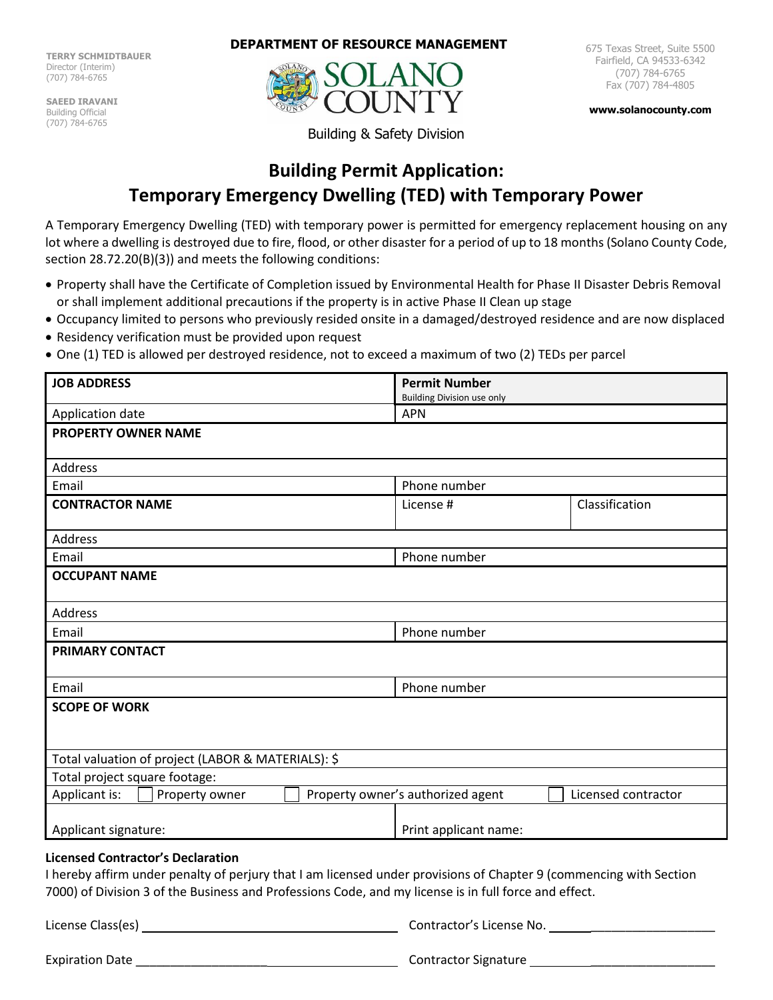**TERRY SCHMIDTBAUER** Director (Interim) (707) 784-6765

**SAEED IRAVANI** Building Official (707) 784-6765

**DEPARTMENT OF RESOURCE MANAGEMENT**



675 Texas Street, Suite 5500 Fairfield, CA 94533-6342 (707) 784-6765 Fax (707) 784-4805

**[www.solanocounty.com](http://www.solanocounty.com/)**

Building & Safety Division

# **Building Permit Application: Temporary Emergency Dwelling (TED) with Temporary Power**

A Temporary Emergency Dwelling (TED) with temporary power is permitted for emergency replacement housing on any lot where a dwelling is destroyed due to fire, flood, or other disaster for a period of up to 18 months (Solano County Code, section 28.72.20(B)(3)) and meets the following conditions:

- Property shall have the Certificate of Completion issued by Environmental Health for Phase II Disaster Debris Removal or shall implement additional precautions if the property is in active Phase II Clean up stage
- Occupancy limited to persons who previously resided onsite in a damaged/destroyed residence and are now displaced
- Residency verification must be provided upon request
- One (1) TED is allowed per destroyed residence, not to exceed a maximum of two (2) TEDs per parcel

| <b>JOB ADDRESS</b>                                                                                                 | <b>Permit Number</b>              |                     |  |
|--------------------------------------------------------------------------------------------------------------------|-----------------------------------|---------------------|--|
|                                                                                                                    | <b>Building Division use only</b> |                     |  |
| Application date                                                                                                   | <b>APN</b>                        |                     |  |
| <b>PROPERTY OWNER NAME</b>                                                                                         |                                   |                     |  |
|                                                                                                                    |                                   |                     |  |
| <b>Address</b>                                                                                                     |                                   |                     |  |
| Email                                                                                                              | Phone number                      |                     |  |
| <b>CONTRACTOR NAME</b>                                                                                             | License #                         | Classification      |  |
|                                                                                                                    |                                   |                     |  |
| <b>Address</b>                                                                                                     |                                   |                     |  |
| Email                                                                                                              | Phone number                      |                     |  |
| <b>OCCUPANT NAME</b>                                                                                               |                                   |                     |  |
|                                                                                                                    |                                   |                     |  |
| <b>Address</b>                                                                                                     |                                   |                     |  |
| Email                                                                                                              | Phone number                      |                     |  |
| <b>PRIMARY CONTACT</b>                                                                                             |                                   |                     |  |
|                                                                                                                    |                                   |                     |  |
| Email                                                                                                              | Phone number                      |                     |  |
| <b>SCOPE OF WORK</b>                                                                                               |                                   |                     |  |
|                                                                                                                    |                                   |                     |  |
|                                                                                                                    |                                   |                     |  |
| Total valuation of project (LABOR & MATERIALS): \$                                                                 |                                   |                     |  |
| Total project square footage:                                                                                      |                                   |                     |  |
| Applicant is:<br>Property owner                                                                                    | Property owner's authorized agent | Licensed contractor |  |
|                                                                                                                    |                                   |                     |  |
| Applicant signature:                                                                                               | Print applicant name:             |                     |  |
|                                                                                                                    |                                   |                     |  |
| <b>Licensed Contractor's Declaration</b>                                                                           |                                   |                     |  |
| I hereby affirm under penalty of perjury that I am licensed under provisions of Chapter 9 (commencing with Section |                                   |                     |  |
| 7000) of Division 3 of the Business and Professions Code, and my license is in full force and effect.              |                                   |                     |  |
| License Class(es)                                                                                                  | Contractor's License No.          |                     |  |

| <b>Expiration Date</b> | <b>Contractor Signature</b> |
|------------------------|-----------------------------|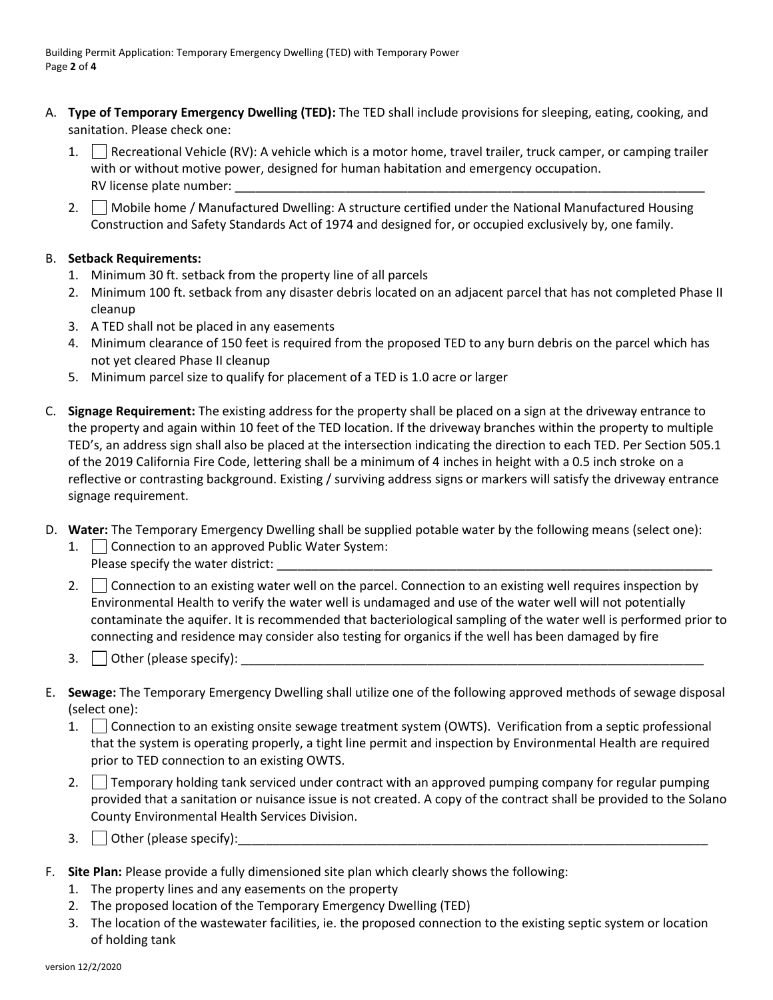- A. **Type of Temporary Emergency Dwelling (TED):** The TED shall include provisions for sleeping, eating, cooking, and sanitation. Please check one:
	- 1. Recreational Vehicle (RV): A vehicle which is a motor home, travel trailer, truck camper, or camping trailer with or without motive power, designed for human habitation and emergency occupation. RV license plate number: \_\_\_\_\_\_\_\_\_\_\_\_\_\_\_\_\_\_\_\_\_\_\_\_\_\_\_\_\_\_\_\_\_\_\_\_\_\_\_\_\_\_\_\_\_\_\_\_\_\_\_\_\_\_\_\_\_\_\_\_\_\_\_\_\_\_\_\_
	- 2. Mobile home / Manufactured Dwelling: A structure certified under the National Manufactured Housing Construction and Safety Standards Act of 1974 and designed for, or occupied exclusively by, one family.

# B. **Setback Requirements:**

- 1. Minimum 30 ft. setback from the property line of all parcels
- 2. Minimum 100 ft. setback from any disaster debris located on an adjacent parcel that has not completed Phase II cleanup
- 3. A TED shall not be placed in any easements
- 4. Minimum clearance of 150 feet is required from the proposed TED to any burn debris on the parcel which has not yet cleared Phase II cleanup
- 5. Minimum parcel size to qualify for placement of a TED is 1.0 acre or larger
- C. **Signage Requirement:** The existing address for the property shall be placed on a sign at the driveway entrance to the property and again within 10 feet of the TED location. If the driveway branches within the property to multiple TED's, an address sign shall also be placed at the intersection indicating the direction to each TED. Per Section 505.1 of the 2019 California Fire Code, lettering shall be a minimum of 4 inches in height with a 0.5 inch stroke on a reflective or contrasting background. Existing / surviving address signs or markers will satisfy the driveway entrance signage requirement.
- D. **Water:** The Temporary Emergency Dwelling shall be supplied potable water by the following means (select one):
	- 1. Connection to an approved Public Water System: Please specify the water district:
	- 2.  $\Box$  Connection to an existing water well on the parcel. Connection to an existing well requires inspection by Environmental Health to verify the water well is undamaged and use of the water well will not potentially contaminate the aquifer. It is recommended that bacteriological sampling of the water well is performed prior to connecting and residence may consider also testing for organics if the well has been damaged by fire
	- 3. Other (please specify):
- E. **Sewage:** The Temporary Emergency Dwelling shall utilize one of the following approved methods of sewage disposal (select one):
	- 1. Connection to an existing onsite sewage treatment system (OWTS). Verification from a septic professional that the system is operating properly, a tight line permit and inspection by Environmental Health are required prior to TED connection to an existing OWTS.
	- 2. Temporary holding tank serviced under contract with an approved pumping company for regular pumping provided that a sanitation or nuisance issue is not created. A copy of the contract shall be provided to the Solano County Environmental Health Services Division.
	- 3.  $\Box$  Other (please specify):
- F. **Site Plan:** Please provide a fully dimensioned site plan which clearly shows the following:
	- 1. The property lines and any easements on the property
	- 2. The proposed location of the Temporary Emergency Dwelling (TED)
	- 3. The location of the wastewater facilities, ie. the proposed connection to the existing septic system or location of holding tank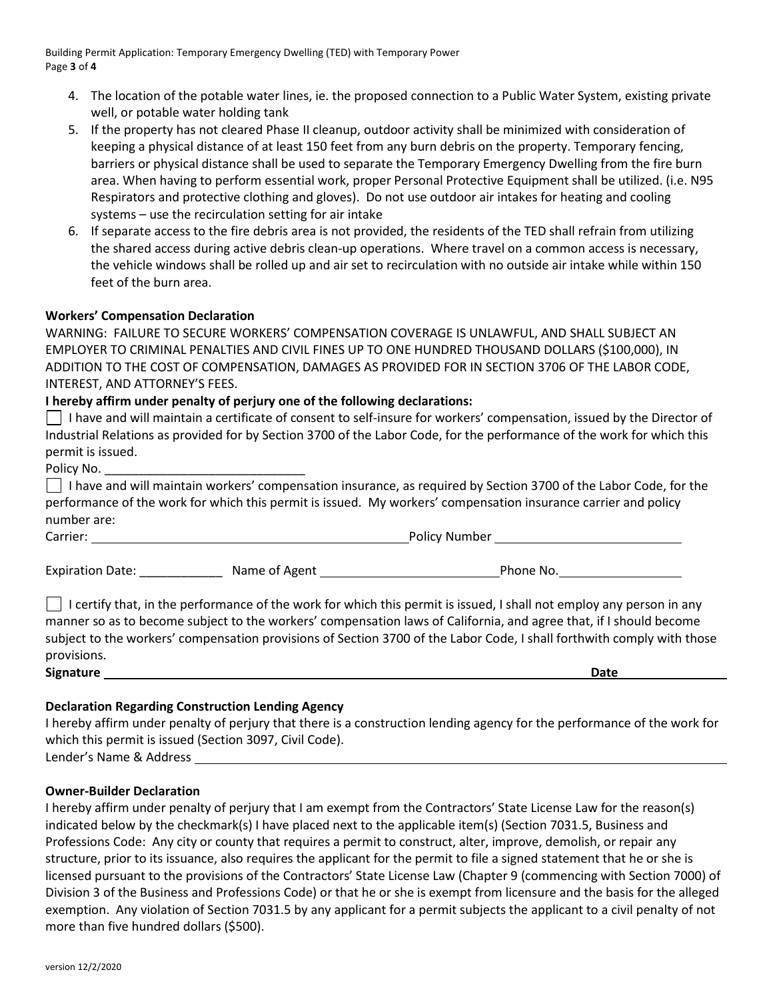Building Permit Application: Temporary Emergency Dwelling (TED) with Temporary Power Page **3** of **4**

- 4. The location of the potable water lines, ie. the proposed connection to a Public Water System, existing private well, or potable water holding tank
- 5. If the property has not cleared Phase II cleanup, outdoor activity shall be minimized with consideration of keeping a physical distance of at least 150 feet from any burn debris on the property. Temporary fencing, barriers or physical distance shall be used to separate the Temporary Emergency Dwelling from the fire burn area. When having to perform essential work, proper Personal Protective Equipment shall be utilized. (i.e. N95 Respirators and protective clothing and gloves). Do not use outdoor air intakes for heating and cooling systems – use the recirculation setting for air intake
- 6. If separate access to the fire debris area is not provided, the residents of the TED shall refrain from utilizing the shared access during active debris clean-up operations. Where travel on a common access is necessary, the vehicle windows shall be rolled up and air set to recirculation with no outside air intake while within 150 feet of the burn area.

### **Workers' Compensation Declaration**

WARNING: FAILURE TO SECURE WORKERS' COMPENSATION COVERAGE IS UNLAWFUL, AND SHALL SUBJECT AN EMPLOYER TO CRIMINAL PENALTIES AND CIVIL FINES UP TO ONE HUNDRED THOUSAND DOLLARS (\$100,000), IN ADDITION TO THE COST OF COMPENSATION, DAMAGES AS PROVIDED FOR IN SECTION 3706 OF THE LABOR CODE, INTEREST, AND ATTORNEY'S FEES.

## **I hereby affirm under penalty of perjury one of the following declarations:**

I have and will maintain a certificate of consent to self-insure for workers' compensation, issued by the Director of Industrial Relations as provided for by Section 3700 of the Labor Code, for the performance of the work for which this permit is issued.

Policy No.

 $\Box$  I have and will maintain workers' compensation insurance, as required by Section 3700 of the Labor Code, for the performance of the work for which this permit is issued. My workers' compensation insurance carrier and policy number are:

Carrier: Policy Number

Expiration Date: \_\_\_\_\_\_\_\_\_\_\_\_ Name of Agent Phone No.

I certify that, in the performance of the work for which this permit is issued, I shall not employ any person in any manner so as to become subject to the workers' compensation laws of California, and agree that, if I should become subject to the workers' compensation provisions of Section 3700 of the Labor Code, I shall forthwith comply with those provisions.

**Signature** Date **Date Date Date Date Date Date Date Date Date Date** 

## **Declaration Regarding Construction Lending Agency**

I hereby affirm under penalty of perjury that there is a construction lending agency for the performance of the work for which this permit is issued (Section 3097, Civil Code).

Lender's Name & Address

### **Owner-Builder Declaration**

I hereby affirm under penalty of perjury that I am exempt from the Contractors' State License Law for the reason(s) indicated below by the checkmark(s) I have placed next to the applicable item(s) (Section 7031.5, Business and Professions Code: Any city or county that requires a permit to construct, alter, improve, demolish, or repair any structure, prior to its issuance, also requires the applicant for the permit to file a signed statement that he or she is licensed pursuant to the provisions of the Contractors' State License Law (Chapter 9 (commencing with Section 7000) of Division 3 of the Business and Professions Code) or that he or she is exempt from licensure and the basis for the alleged exemption. Any violation of Section 7031.5 by any applicant for a permit subjects the applicant to a civil penalty of not more than five hundred dollars (\$500).